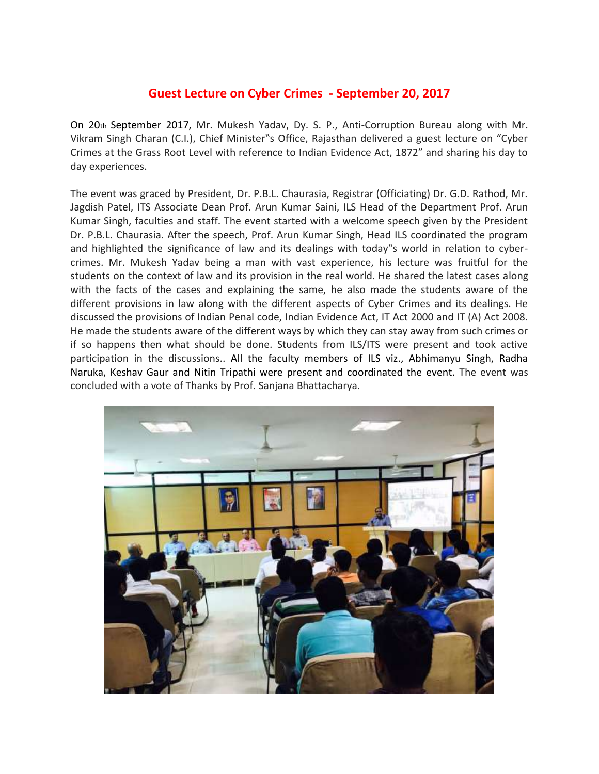## **Guest Lecture on Cyber Crimes - September 20, 2017**

On 20th September 2017, Mr. Mukesh Yadav, Dy. S. P., Anti-Corruption Bureau along with Mr. Vikram Singh Charan (C.I.), Chief Minister"s Office, Rajasthan delivered a guest lecture on "Cyber Crimes at the Grass Root Level with reference to Indian Evidence Act, 1872" and sharing his day to day experiences.

The event was graced by President, Dr. P.B.L. Chaurasia, Registrar (Officiating) Dr. G.D. Rathod, Mr. Jagdish Patel, ITS Associate Dean Prof. Arun Kumar Saini, ILS Head of the Department Prof. Arun Kumar Singh, faculties and staff. The event started with a welcome speech given by the President Dr. P.B.L. Chaurasia. After the speech, Prof. Arun Kumar Singh, Head ILS coordinated the program and highlighted the significance of law and its dealings with today"s world in relation to cybercrimes. Mr. Mukesh Yadav being a man with vast experience, his lecture was fruitful for the students on the context of law and its provision in the real world. He shared the latest cases along with the facts of the cases and explaining the same, he also made the students aware of the different provisions in law along with the different aspects of Cyber Crimes and its dealings. He discussed the provisions of Indian Penal code, Indian Evidence Act, IT Act 2000 and IT (A) Act 2008. He made the students aware of the different ways by which they can stay away from such crimes or if so happens then what should be done. Students from ILS/ITS were present and took active participation in the discussions.. All the faculty members of ILS viz., Abhimanyu Singh, Radha Naruka, Keshav Gaur and Nitin Tripathi were present and coordinated the event. The event was concluded with a vote of Thanks by Prof. Sanjana Bhattacharya.